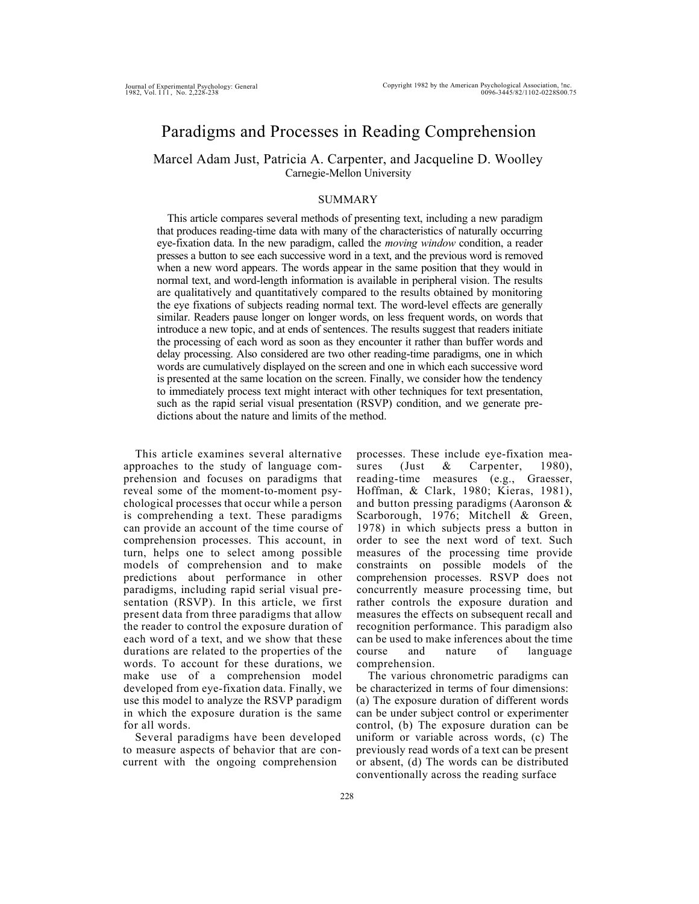# Paradigms and Processes in Reading Comprehension

Marcel Adam Just, Patricia A. Carpenter, and Jacqueline D. Woolley Carnegie-Mellon University

# SUMMARY

This article compares several methods of presenting text, including a new paradigm that produces reading-time data with many of the characteristics of naturally occurring eye-fixation data. In the new paradigm, called the moving window condition, a reader presses a button to see each successive word in a text, and the previous word is removed when a new word appears. The words appear in the same position that they would in normal text, and word-length information is available in peripheral vision. The results are qualitatively and quantitatively compared to the results obtained by monitoring the eye fixations of subjects reading normal text. The word-level effects are generally similar. Readers pause longer on longer words, on less frequent words, on words that introduce a new topic, and at ends of sentences. The results suggest that readers initiate the processing of each word as soon as they encounter it rather than buffer words and delay processing. Also considered are two other reading-time paradigms, one in which words are cumulatively displayed on the screen and one in which each successive word is presented at the same location on the screen. Finally, we consider how the tendency to immediately process text might interact with other techniques for text presentation, such as the rapid serial visual presentation (RSVP) condition, and we generate predictions about the nature and limits of the method.

This article examines several alternative approaches to the study of language comprehension and focuses on paradigms that reveal some of the moment-to-moment psychological processes that occur while a person is comprehending a text. These paradigms can provide an account of the time course of comprehension processes. This account, in turn, helps one to select among possible models of comprehension and to make predictions about performance in other paradigms, including rapid serial visual presentation (RSVP). In this article, we first present data from three paradigms that allow the reader to control the exposure duration of each word of a text, and we show that these durations are related to the properties of the words. To account for these durations, we make use of a comprehension model developed from eye-fixation data. Finally, we use this model to analyze the RSVP paradigm in which the exposure duration is the same for all words.

Several paradigms have been developed to measure aspects of behavior that are concurrent with the ongoing comprehension

processes. These include eye-fixation measures (Just & Carpenter, 1980), reading-time measures (e.g., Graesser, Hoffman, & Clark, 1980; Kieras, 1981), and button pressing paradigms (Aaronson & Scarborough, 1976; Mitchell & Green, 1978) in which subjects press a button in order to see the next word of text. Such measures of the processing time provide constraints on possible models of the comprehension processes. RSVP does not concurrently measure processing time, but rather controls the exposure duration and measures the effects on subsequent recall and recognition performance. This paradigm also can be used to make inferences about the time course and nature of language comprehension.

The various chronometric paradigms can be characterized in terms of four dimensions: (a) The exposure duration of different words can be under subject control or experimenter control, (b) The exposure duration can be uniform or variable across words, (c) The previously read words of a text can be present or absent, (d) The words can be distributed conventionally across the reading surface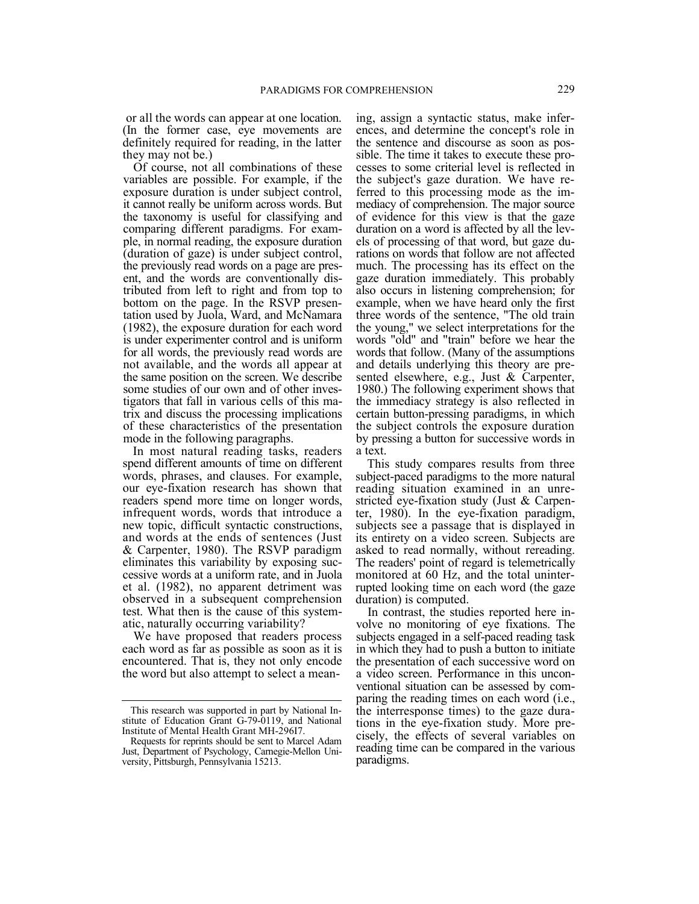or all the words can appear at one location. (In the former case, eye movements are definitely required for reading, in the latter they may not be.)

Of course, not all combinations of these variables are possible. For example, if the exposure duration is under subject control, it cannot really be uniform across words. But the taxonomy is useful for classifying and comparing different paradigms. For example, in normal reading, the exposure duration (duration of gaze) is under subject control, the previously read words on a page are present, and the words are conventionally distributed from left to right and from top to bottom on the page. In the RSVP presentation used by Juola, Ward, and McNamara (1982), the exposure duration for each word is under experimenter control and is uniform for all words, the previously read words are not available, and the words all appear at the same position on the screen. We describe some studies of our own and of other investigators that fall in various cells of this matrix and discuss the processing implications of these characteristics of the presentation mode in the following paragraphs.

In most natural reading tasks, readers spend different amounts of time on different words, phrases, and clauses. For example, our eye-fixation research has shown that readers spend more time on longer words, infrequent words, words that introduce a new topic, difficult syntactic constructions, and words at the ends of sentences (Just & Carpenter, 1980). The RSVP paradigm eliminates this variability by exposing successive words at a uniform rate, and in Juola et al. (1982), no apparent detriment was observed in a subsequent comprehension test. What then is the cause of this systematic, naturally occurring variability?

We have proposed that readers process each word as far as possible as soon as it is encountered. That is, they not only encode the word but also attempt to select a mean-

ing, assign a syntactic status, make inferences, and determine the concept's role in the sentence and discourse as soon as possible. The time it takes to execute these processes to some criterial level is reflected in the subject's gaze duration. We have referred to this processing mode as the immediacy of comprehension. The major source of evidence for this view is that the gaze duration on a word is affected by all the levels of processing of that word, but gaze durations on words that follow are not affected much. The processing has its effect on the gaze duration immediately. This probably also occurs in listening comprehension; for example, when we have heard only the first three words of the sentence, "The old train the young," we select interpretations for the words "old" and "train" before we hear the words that follow. (Many of the assumptions and details underlying this theory are presented elsewhere, e.g., Just & Carpenter, 1980.) The following experiment shows that the immediacy strategy is also reflected in certain button-pressing paradigms, in which the subject controls the exposure duration by pressing a button for successive words in a text.

This study compares results from three subject-paced paradigms to the more natural reading situation examined in an unrestricted eye-fixation study (Just & Carpenter, 1980). In the eye-fixation paradigm, subjects see a passage that is displayed in its entirety on a video screen. Subjects are asked to read normally, without rereading. The readers' point of regard is telemetrically monitored at 60 Hz, and the total uninterrupted looking time on each word (the gaze duration) is computed.

In contrast, the studies reported here involve no monitoring of eye fixations. The subjects engaged in a self-paced reading task in which they had to push a button to initiate the presentation of each successive word on a video screen. Performance in this unconventional situation can be assessed by comparing the reading times on each word (i.e., the interresponse times) to the gaze durations in the eye-fixation study. More precisely, the effects of several variables on reading time can be compared in the various paradigms.

This research was supported in part by National Institute of Education Grant G-79-0119, and National Institute of Mental Health Grant MH-296I7.

Requests for reprints should be sent to Marcel Adam Just, Department of Psychology, Carnegie-Mellon University, Pittsburgh, Pennsylvania 15213.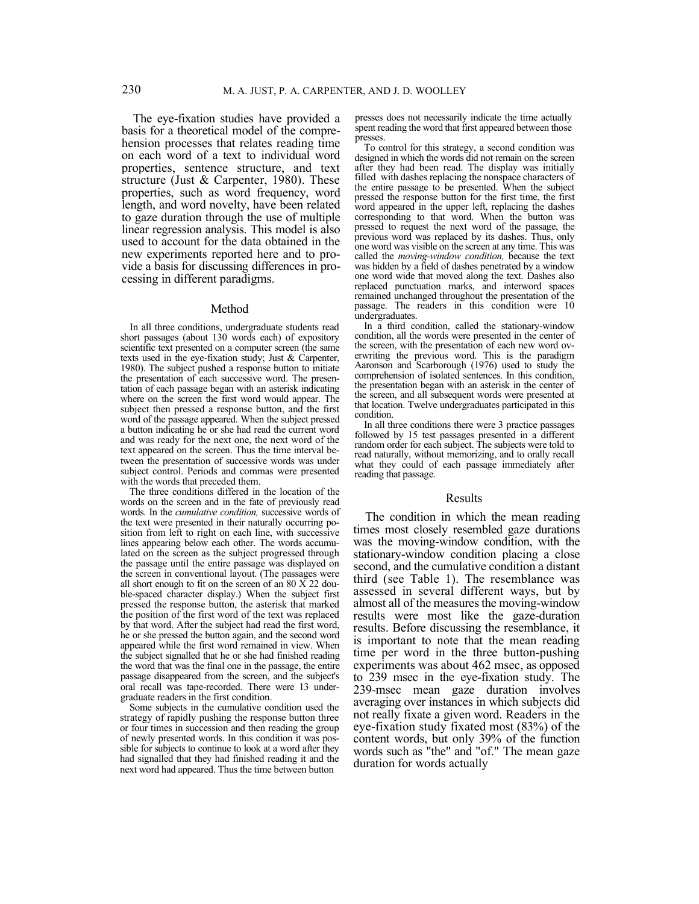The eye-fixation studies have provided a basis for a theoretical model of the comprehension processes that relates reading time on each word of a text to individual word properties, sentence structure, and text structure (Just & Carpenter, 1980). These properties, such as word frequency, word length, and word novelty, have been related to gaze duration through the use of multiple linear regression analysis. This model is also used to account for the data obtained in the new experiments reported here and to provide a basis for discussing differences in processing in different paradigms.

#### Method

In all three conditions, undergraduate students read short passages (about 130 words each) of expository scientific text presented on a computer screen (the same texts used in the eye-fixation study; Just & Carpenter, 1980). The subject pushed a response button to initiate the presentation of each successive word. The presentation of each passage began with an asterisk indicating where on the screen the first word would appear. The subject then pressed a response button, and the first word of the passage appeared. When the subject pressed a button indicating he or she had read the current word and was ready for the next one, the next word of the text appeared on the screen. Thus the time interval between the presentation of successive words was under subject control. Periods and commas were presented with the words that preceded them.

The three conditions differed in the location of the words on the screen and in the fate of previously read words. In the cumulative condition, successive words of the text were presented in their naturally occurring position from left to right on each line, with successive lines appearing below each other. The words accumulated on the screen as the subject progressed through the passage until the entire passage was displayed on the screen in conventional layout. (The passages were all short enough to fit on the screen of an  $80 \text{ X } 22 \text{ dou-}$ ble-spaced character display.) When the subject first pressed the response button, the asterisk that marked the position of the first word of the text was replaced by that word. After the subject had read the first word, he or she pressed the button again, and the second word appeared while the first word remained in view. When the subject signalled that he or she had finished reading the word that was the final one in the passage, the entire passage disappeared from the screen, and the subject's oral recall was tape-recorded. There were 13 undergraduate readers in the first condition.

Some subjects in the cumulative condition used the strategy of rapidly pushing the response button three or four times in succession and then reading the group of newly presented words. In this condition it was possible for subjects to continue to look at a word after they had signalled that they had finished reading it and the next word had appeared. Thus the time between button

presses does not necessarily indicate the time actually spent reading the word that first appeared between those presses.

To control for this strategy, a second condition was designed in which the words did not remain on the screen after they had been read. The display was initially filled with dashes replacing the nonspace characters of the entire passage to be presented. When the subject pressed the response button for the first time, the first word appeared in the upper left, replacing the dashes corresponding to that word. When the button was pressed to request the next word of the passage, the previous word was replaced by its dashes. Thus, only one word was visible on the screen at any time. This was called the moving-window condition, because the text was hidden by a field of dashes penetrated by a window one word wide that moved along the text. Dashes also replaced punctuation marks, and interword spaces remained unchanged throughout the presentation of the passage. The readers in this condition were 10 undergraduates.

In a third condition, called the stationary-window condition, all the words were presented in the center of the screen, with the presentation of each new word overwriting the previous word. This is the paradigm Aaronson and Scarborough (1976) used to study the comprehension of isolated sentences. In this condition, the presentation began with an asterisk in the center of the screen, and all subsequent words were presented at that location. Twelve undergraduates participated in this condition.

In all three conditions there were 3 practice passages followed by 15 test passages presented in a different random order for each subject. The subjects were told to read naturally, without memorizing, and to orally recall what they could of each passage immediately after reading that passage.

#### Results

The condition in which the mean reading times most closely resembled gaze durations was the moving-window condition, with the stationary-window condition placing a close second, and the cumulative condition a distant third (see Table 1). The resemblance was assessed in several different ways, but by almost all of the measures the moving-window results were most like the gaze-duration results. Before discussing the resemblance, it is important to note that the mean reading time per word in the three button-pushing experiments was about 462 msec, as opposed to 239 msec in the eye-fixation study. The 239-msec mean gaze duration involves averaging over instances in which subjects did not really fixate a given word. Readers in the eye-fixation study fixated most (83%) of the content words, but only 39% of the function words such as "the" and "of." The mean gaze duration for words actually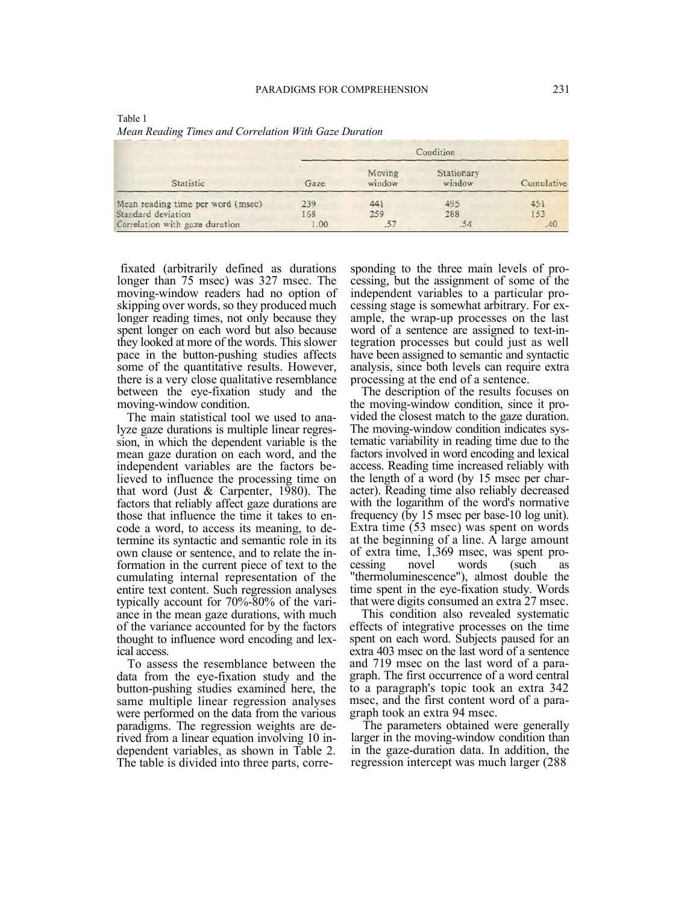Mean Reading Times and Correlation With Gaze Duration

|                                   | Condition |                  |                      |            |  |
|-----------------------------------|-----------|------------------|----------------------|------------|--|
| Statistic                         | Gaze      | Moving<br>window | Stationary<br>window | Cumulative |  |
| Mean reading time per word (msec) | 239       | 441              | 495                  | 451        |  |
| Standard deviation                | 168       | 259              | 288                  | 153        |  |
| Correlation with gaze duration    | 1.00      | -57              | .54                  | .40        |  |

 fixated (arbitrarily defined as durations longer than 75 msec) was 327 msec. The moving-window readers had no option of skipping over words, so they produced much longer reading times, not only because they spent longer on each word but also because they looked at more of the words. This slower pace in the button-pushing studies affects some of the quantitative results. However, there is a very close qualitative resemblance between the eye-fixation study and the moving-window condition.

The main statistical tool we used to analyze gaze durations is multiple linear regression, in which the dependent variable is the mean gaze duration on each word, and the independent variables are the factors believed to influence the processing time on that word (Just & Carpenter, 1980). The factors that reliably affect gaze durations are those that influence the time it takes to encode a word, to access its meaning, to determine its syntactic and semantic role in its own clause or sentence, and to relate the information in the current piece of text to the cumulating internal representation of the entire text content. Such regression analyses typically account for 70%-80% of the variance in the mean gaze durations, with much of the variance accounted for by the factors thought to influence word encoding and lexical access.

To assess the resemblance between the data from the eye-fixation study and the button-pushing studies examined here, the same multiple linear regression analyses were performed on the data from the various paradigms. The regression weights are derived from a linear equation involving 10 independent variables, as shown in Table 2. The table is divided into three parts, corresponding to the three main levels of processing, but the assignment of some of the independent variables to a particular processing stage is somewhat arbitrary. For example, the wrap-up processes on the last word of a sentence are assigned to text-integration processes but could just as well have been assigned to semantic and syntactic analysis, since both levels can require extra processing at the end of a sentence.

The description of the results focuses on the moving-window condition, since it provided the closest match to the gaze duration. The moving-window condition indicates systematic variability in reading time due to the factors involved in word encoding and lexical access. Reading time increased reliably with the length of a word (by 15 msec per character). Reading time also reliably decreased with the logarithm of the word's normative frequency (by 15 msec per base-10 log unit). Extra time (53 msec) was spent on words at the beginning of a line. A large amount of extra time, 1,369 msec, was spent pro-<br>cessing novel words (such as cessing novel words (such as "thermoluminescence"), almost double the time spent in the eye-fixation study. Words that were digits consumed an extra 27 msec.

This condition also revealed systematic effects of integrative processes on the time spent on each word. Subjects paused for an extra 403 msec on the last word of a sentence and 719 msec on the last word of a paragraph. The first occurrence of a word central to a paragraph's topic took an extra 342 msec, and the first content word of a paragraph took an extra 94 msec.

The parameters obtained were generally larger in the moving-window condition than in the gaze-duration data. In addition, the regression intercept was much larger (288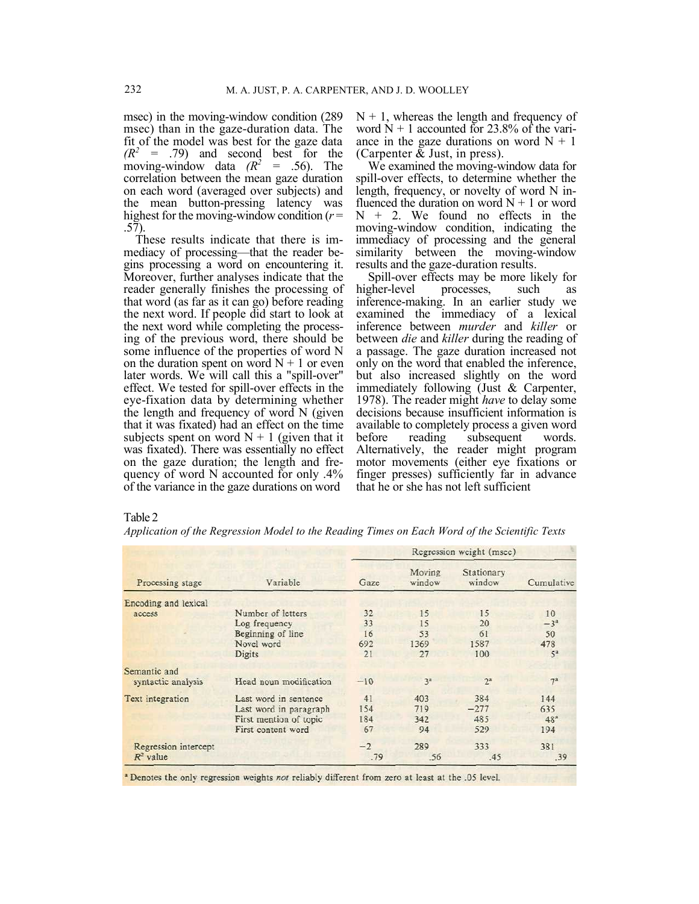msec) in the moving-window condition (289 msec) than in the gaze-duration data. The fit of the model was best for the gaze data  $(R<sup>2</sup> = .79)$  and second best for the moving-window data  $(R^2 = .56)$ . The correlation between the mean gaze duration on each word (averaged over subjects) and the mean button-pressing latency was highest for the moving-window condition  $(r =$ .57).

These results indicate that there is immediacy of processing—that the reader begins processing a word on encountering it. Moreover, further analyses indicate that the reader generally finishes the processing of that word (as far as it can go) before reading the next word. If people did start to look at the next word while completing the processing of the previous word, there should be some influence of the properties of word N on the duration spent on word  $N + 1$  or even later words. We will call this a "spill-over" effect. We tested for spill-over effects in the eye-fixation data by determining whether the length and frequency of word N (given that it was fixated) had an effect on the time subjects spent on word  $N + 1$  (given that it was fixated). There was essentially no effect on the gaze duration; the length and frequency of word N accounted for only .4% of the variance in the gaze durations on word

 $N + 1$ , whereas the length and frequency of word  $N + 1$  accounted for 23.8% of the variance in the gaze durations on word  $N + 1$ (Carpenter & Just, in press).

We examined the moving-window data for spill-over effects, to determine whether the length, frequency, or novelty of word N influenced the duration on word  $N + 1$  or word  $N + 2$ . We found no effects in the moving-window condition, indicating the immediacy of processing and the general similarity between the moving-window results and the gaze-duration results.

Spill-over effects may be more likely for higher-level processes, such as inference-making. In an earlier study we examined the immediacy of a lexical inference between murder and killer or between *die* and *killer* during the reading of a passage. The gaze duration increased not only on the word that enabled the inference, but also increased slightly on the word immediately following (Just & Carpenter, 1978). The reader might *have* to delay some decisions because insufficient information is available to completely process a given word before reading subsequent words. Alternatively, the reader might program motor movements (either eye fixations or finger presses) sufficiently far in advance that he or she has not left sufficient

## Table 2

|  |  |  |  | Application of the Regression Model to the Reading Times on Each Word of the Scientific Texts |
|--|--|--|--|-----------------------------------------------------------------------------------------------|
|  |  |  |  |                                                                                               |

|                      |                        | Regression weight (msec) |                  |                      |                 |  |
|----------------------|------------------------|--------------------------|------------------|----------------------|-----------------|--|
| Processing stage     | Variable               | Gaze                     | Moving<br>window | Stationary<br>window | Cumulative      |  |
| Encoding and lexical |                        |                          |                  |                      |                 |  |
| access               | Number of letters      | 32                       | 15               | 15                   | 10              |  |
|                      | Log frequency          | 33                       | 15               | 20                   | $-3^a$          |  |
|                      | Beginning of line      | 16                       | 53               | 61                   | 50              |  |
|                      | Novel word             | 692                      | 1369             | 1587                 | 478             |  |
|                      | Digits                 | 21                       | 27               | 100                  | 5 <sup>a</sup>  |  |
| Semantic and         |                        |                          |                  |                      |                 |  |
| syntactic analysis   | Head noun modification | $-10$                    | 3 <sup>n</sup>   | $2^a$                | 7 <sup>2</sup>  |  |
| Text integration     | Last word in sentence  | 41                       | 403              | 384                  | 144             |  |
|                      | Last word in paragraph | 154                      | 719              | $-277$               | 635             |  |
|                      | First mention of topic | 184                      | 342              | 485                  | 48 <sup>a</sup> |  |
|                      | First content word     | 67                       | 94               | 529                  | 194             |  |
| Regression intercept |                        | $-2$                     | 289              | 333                  | 381             |  |
| $R^2$ value          |                        | .79                      | .56              | .45                  | .39             |  |

\* Denotes the only regression weights not reliably different from zero at least at the .05 level.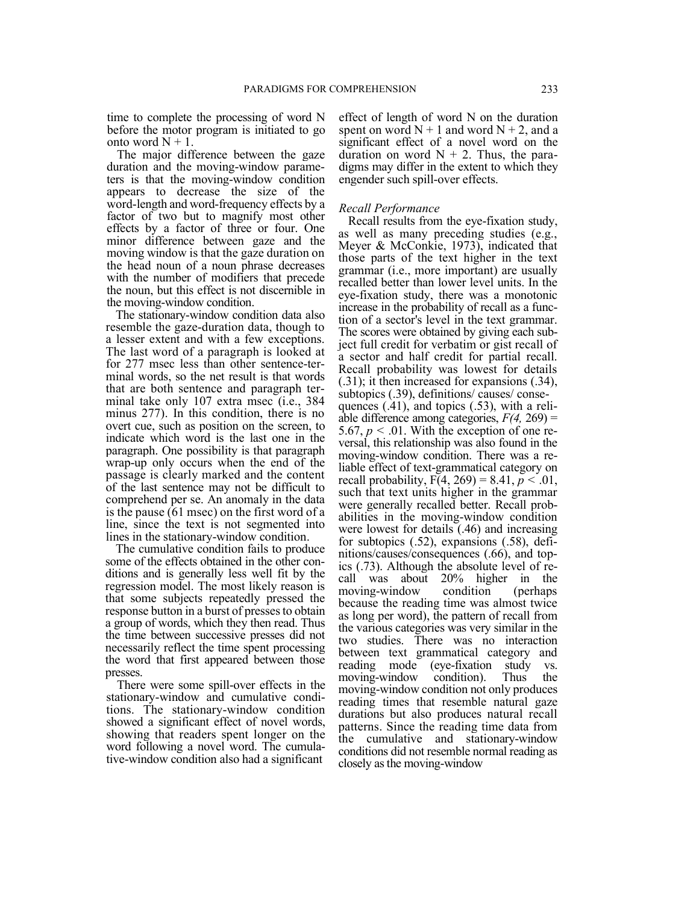time to complete the processing of word N before the motor program is initiated to go onto word  $N + 1$ .

The major difference between the gaze duration and the moving-window parameters is that the moving-window condition appears to decrease the size of the word-length and word-frequency effects by a factor of two but to magnify most other effects by a factor of three or four. One minor difference between gaze and the moving window is that the gaze duration on the head noun of a noun phrase decreases with the number of modifiers that precede the noun, but this effect is not discernible in the moving-window condition.

The stationary-window condition data also resemble the gaze-duration data, though to a lesser extent and with a few exceptions. The last word of a paragraph is looked at for 277 msec less than other sentence-terminal words, so the net result is that words that are both sentence and paragraph terminal take only 107 extra msec (i.e., 384 minus 277). In this condition, there is no overt cue, such as position on the screen, to indicate which word is the last one in the paragraph. One possibility is that paragraph wrap-up only occurs when the end of the passage is clearly marked and the content of the last sentence may not be difficult to comprehend per se. An anomaly in the data is the pause (61 msec) on the first word of a line, since the text is not segmented into lines in the stationary-window condition.

The cumulative condition fails to produce some of the effects obtained in the other conditions and is generally less well fit by the regression model. The most likely reason is that some subjects repeatedly pressed the response button in a burst of presses to obtain a group of words, which they then read. Thus the time between successive presses did not necessarily reflect the time spent processing the word that first appeared between those presses.

There were some spill-over effects in the stationary-window and cumulative conditions. The stationary-window condition showed a significant effect of novel words, showing that readers spent longer on the word following a novel word. The cumulative-window condition also had a significant

effect of length of word N on the duration spent on word  $N + 1$  and word  $N + 2$ , and a significant effect of a novel word on the duration on word  $N + 2$ . Thus, the paradigms may differ in the extent to which they engender such spill-over effects.

## Recall Performance

Recall results from the eye-fixation study, as well as many preceding studies (e.g., Meyer & McConkie, 1973), indicated that those parts of the text higher in the text grammar (i.e., more important) are usually recalled better than lower level units. In the eye-fixation study, there was a monotonic increase in the probability of recall as a function of a sector's level in the text grammar. The scores were obtained by giving each subject full credit for verbatim or gist recall of a sector and half credit for partial recall. Recall probability was lowest for details (.31); it then increased for expansions (.34), subtopics (.39), definitions/ causes/ consequences (.41), and topics (.53), with a reliable difference among categories,  $F(4, 269) =$ 5.67,  $p < 0.01$ . With the exception of one reversal, this relationship was also found in the moving-window condition. There was a reliable effect of text-grammatical category on recall probability,  $F(4, 269) = 8.41, p < .01$ , such that text units higher in the grammar were generally recalled better. Recall probabilities in the moving-window condition were lowest for details (.46) and increasing for subtopics (.52), expansions (.58), definitions/causes/consequences (.66), and topics (.73). Although the absolute level of recall was about 20% higher in the moving-window condition (perhaps because the reading time was almost twice as long per word), the pattern of recall from the various categories was very similar in the two studies. There was no interaction between text grammatical category and reading mode (eye-fixation study vs. moving-window condition). Thus the moving-window condition not only produces reading times that resemble natural gaze durations but also produces natural recall patterns. Since the reading time data from the cumulative and stationary-window conditions did not resemble normal reading as closely as the moving-window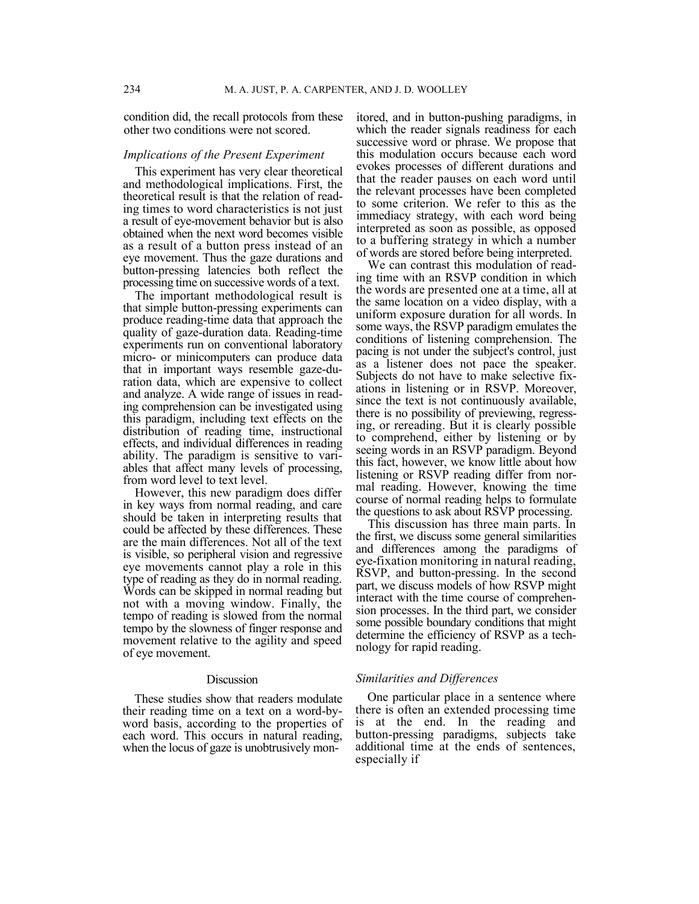condition did, the recall protocols from these other two conditions were not scored.

## Implications of the Present Experiment

This experiment has very clear theoretical and methodological implications. First, the theoretical result is that the relation of reading times to word characteristics is not just a result of eye-movement behavior but is also obtained when the next word becomes visible as a result of a button press instead of an eye movement. Thus the gaze durations and button-pressing latencies both reflect the processing time on successive words of a text.

The important methodological result is that simple button-pressing experiments can produce reading-time data that approach the quality of gaze-duration data. Reading-time experiments run on conventional laboratory micro- or minicomputers can produce data that in important ways resemble gaze-duration data, which are expensive to collect and analyze. A wide range of issues in reading comprehension can be investigated using this paradigm, including text effects on the distribution of reading time, instructional effects, and individual differences in reading ability. The paradigm is sensitive to variables that affect many levels of processing, from word level to text level.

However, this new paradigm does differ in key ways from normal reading, and care should be taken in interpreting results that could be affected by these differences. These are the main differences. Not all of the text is visible, so peripheral vision and regressive eye movements cannot play a role in this type of reading as they do in normal reading. Words can be skipped in normal reading but not with a moving window. Finally, the tempo of reading is slowed from the normal tempo by the slowness of finger response and movement relative to the agility and speed of eye movement.

## Discussion

These studies show that readers modulate their reading time on a text on a word-byword basis, according to the properties of each word. This occurs in natural reading, when the locus of gaze is unobtrusively monitored, and in button-pushing paradigms, in which the reader signals readiness for each successive word or phrase. We propose that this modulation occurs because each word evokes processes of different durations and that the reader pauses on each word until the relevant processes have been completed to some criterion. We refer to this as the immediacy strategy, with each word being interpreted as soon as possible, as opposed to a buffering strategy in which a number of words are stored before being interpreted.

We can contrast this modulation of reading time with an RSVP condition in which the words are presented one at a time, all at the same location on a video display, with a uniform exposure duration for all words. In some ways, the RSVP paradigm emulates the conditions of listening comprehension. The pacing is not under the subject's control, just as a listener does not pace the speaker. Subjects do not have to make selective fixations in listening or in RSVP. Moreover, since the text is not continuously available, there is no possibility of previewing, regressing, or rereading. But it is clearly possible to comprehend, either by listening or by seeing words in an RSVP paradigm. Beyond this fact, however, we know little about how listening or RSVP reading differ from normal reading. However, knowing the time course of normal reading helps to formulate the questions to ask about RSVP processing.

This discussion has three main parts. In the first, we discuss some general similarities and differences among the paradigms of eye-fixation monitoring in natural reading, RSVP, and button-pressing. In the second part, we discuss models of how RSVP might interact with the time course of comprehension processes. In the third part, we consider some possible boundary conditions that might determine the efficiency of RSVP as a technology for rapid reading.

# Similarities and Differences

One particular place in a sentence where there is often an extended processing time is at the end. In the reading and button-pressing paradigms, subjects take additional time at the ends of sentences, especially if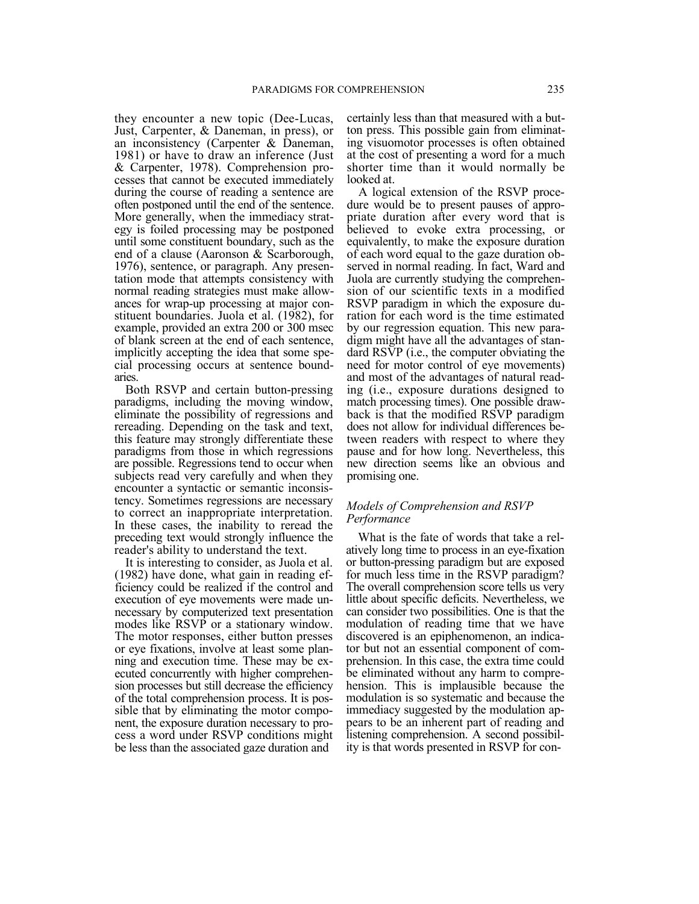they encounter a new topic (Dee-Lucas, Just, Carpenter, & Daneman, in press), or an inconsistency (Carpenter & Daneman, 1981) or have to draw an inference (Just & Carpenter, 1978). Comprehension processes that cannot be executed immediately during the course of reading a sentence are often postponed until the end of the sentence. More generally, when the immediacy strategy is foiled processing may be postponed until some constituent boundary, such as the end of a clause (Aaronson & Scarborough, 1976), sentence, or paragraph. Any presentation mode that attempts consistency with normal reading strategies must make allowances for wrap-up processing at major constituent boundaries. Juola et al. (1982), for example, provided an extra 200 or 300 msec of blank screen at the end of each sentence, implicitly accepting the idea that some special processing occurs at sentence boundaries.

Both RSVP and certain button-pressing paradigms, including the moving window, eliminate the possibility of regressions and rereading. Depending on the task and text, this feature may strongly differentiate these paradigms from those in which regressions are possible. Regressions tend to occur when subjects read very carefully and when they encounter a syntactic or semantic inconsistency. Sometimes regressions are necessary to correct an inappropriate interpretation. In these cases, the inability to reread the preceding text would strongly influence the reader's ability to understand the text.

It is interesting to consider, as Juola et al. (1982) have done, what gain in reading efficiency could be realized if the control and execution of eye movements were made unnecessary by computerized text presentation modes like RSVP or a stationary window. The motor responses, either button presses or eye fixations, involve at least some planning and execution time. These may be executed concurrently with higher comprehension processes but still decrease the efficiency of the total comprehension process. It is possible that by eliminating the motor component, the exposure duration necessary to process a word under RSVP conditions might be less than the associated gaze duration and

certainly less than that measured with a button press. This possible gain from eliminating visuomotor processes is often obtained at the cost of presenting a word for a much shorter time than it would normally be looked at.

A logical extension of the RSVP procedure would be to present pauses of appropriate duration after every word that is believed to evoke extra processing, or equivalently, to make the exposure duration of each word equal to the gaze duration observed in normal reading. In fact, Ward and Juola are currently studying the comprehension of our scientific texts in a modified RSVP paradigm in which the exposure duration for each word is the time estimated by our regression equation. This new paradigm might have all the advantages of standard RSVP (i.e., the computer obviating the need for motor control of eye movements) and most of the advantages of natural reading (i.e., exposure durations designed to match processing times). One possible drawback is that the modified RSVP paradigm does not allow for individual differences between readers with respect to where they pause and for how long. Nevertheless, this new direction seems like an obvious and promising one.

# Models of Comprehension and RSVP Performance

What is the fate of words that take a relatively long time to process in an eye-fixation or button-pressing paradigm but are exposed for much less time in the RSVP paradigm? The overall comprehension score tells us very little about specific deficits. Nevertheless, we can consider two possibilities. One is that the modulation of reading time that we have discovered is an epiphenomenon, an indicator but not an essential component of comprehension. In this case, the extra time could be eliminated without any harm to comprehension. This is implausible because the modulation is so systematic and because the immediacy suggested by the modulation appears to be an inherent part of reading and listening comprehension. A second possibility is that words presented in RSVP for con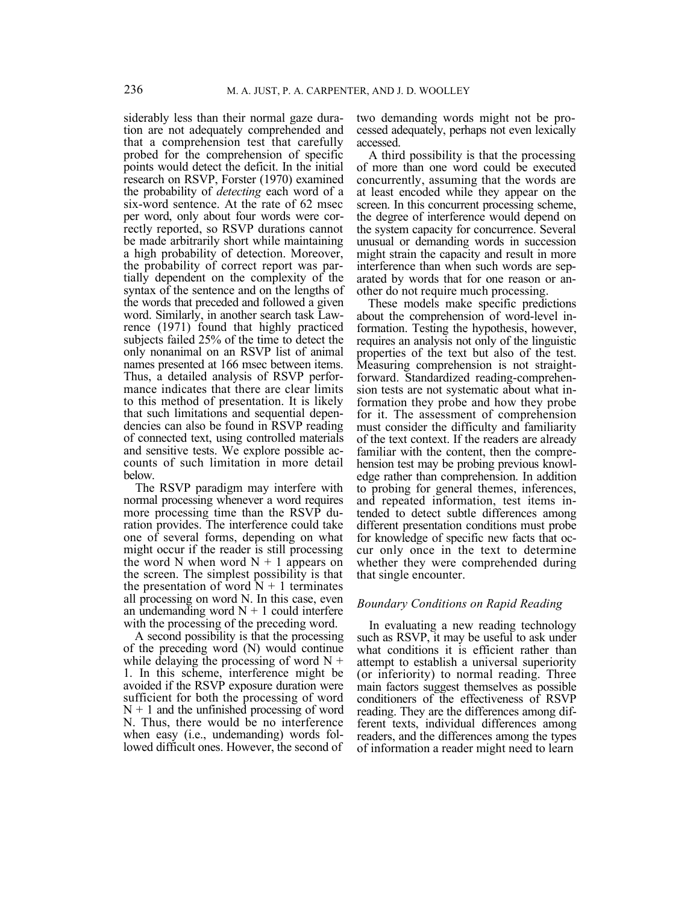siderably less than their normal gaze duration are not adequately comprehended and that a comprehension test that carefully probed for the comprehension of specific points would detect the deficit. In the initial research on RSVP, Forster (1970) examined the probability of detecting each word of a six-word sentence. At the rate of 62 msec per word, only about four words were correctly reported, so RSVP durations cannot be made arbitrarily short while maintaining a high probability of detection. Moreover, the probability of correct report was partially dependent on the complexity of the syntax of the sentence and on the lengths of the words that preceded and followed a given word. Similarly, in another search task Lawrence (1971) found that highly practiced subjects failed 25% of the time to detect the only nonanimal on an RSVP list of animal names presented at 166 msec between items. Thus, a detailed analysis of RSVP performance indicates that there are clear limits to this method of presentation. It is likely that such limitations and sequential dependencies can also be found in RSVP reading of connected text, using controlled materials and sensitive tests. We explore possible accounts of such limitation in more detail below.

The RSVP paradigm may interfere with normal processing whenever a word requires more processing time than the RSVP duration provides. The interference could take one of several forms, depending on what might occur if the reader is still processing the word N when word  $N + 1$  appears on the screen. The simplest possibility is that the presentation of word  $N + 1$  terminates all processing on word N. In this case, even an undemanding word  $N + 1$  could interfere with the processing of the preceding word.

A second possibility is that the processing of the preceding word (N) would continue while delaying the processing of word  $N +$ 1. In this scheme, interference might be avoided if the RSVP exposure duration were sufficient for both the processing of word  $N + 1$  and the unfinished processing of word N. Thus, there would be no interference when easy (i.e., undemanding) words followed difficult ones. However, the second of

two demanding words might not be processed adequately, perhaps not even lexically accessed.

A third possibility is that the processing of more than one word could be executed concurrently, assuming that the words are at least encoded while they appear on the screen. In this concurrent processing scheme, the degree of interference would depend on the system capacity for concurrence. Several unusual or demanding words in succession might strain the capacity and result in more interference than when such words are separated by words that for one reason or another do not require much processing.

These models make specific predictions about the comprehension of word-level information. Testing the hypothesis, however, requires an analysis not only of the linguistic properties of the text but also of the test. Measuring comprehension is not straightforward. Standardized reading-comprehension tests are not systematic about what information they probe and how they probe for it. The assessment of comprehension must consider the difficulty and familiarity of the text context. If the readers are already familiar with the content, then the comprehension test may be probing previous knowledge rather than comprehension. In addition to probing for general themes, inferences, and repeated information, test items intended to detect subtle differences among different presentation conditions must probe for knowledge of specific new facts that occur only once in the text to determine whether they were comprehended during that single encounter.

### Boundary Conditions on Rapid Reading

In evaluating a new reading technology such as RSVP, it may be useful to ask under what conditions it is efficient rather than attempt to establish a universal superiority (or inferiority) to normal reading. Three main factors suggest themselves as possible conditioners of the effectiveness of RSVP reading. They are the differences among different texts, individual differences among readers, and the differences among the types of information a reader might need to learn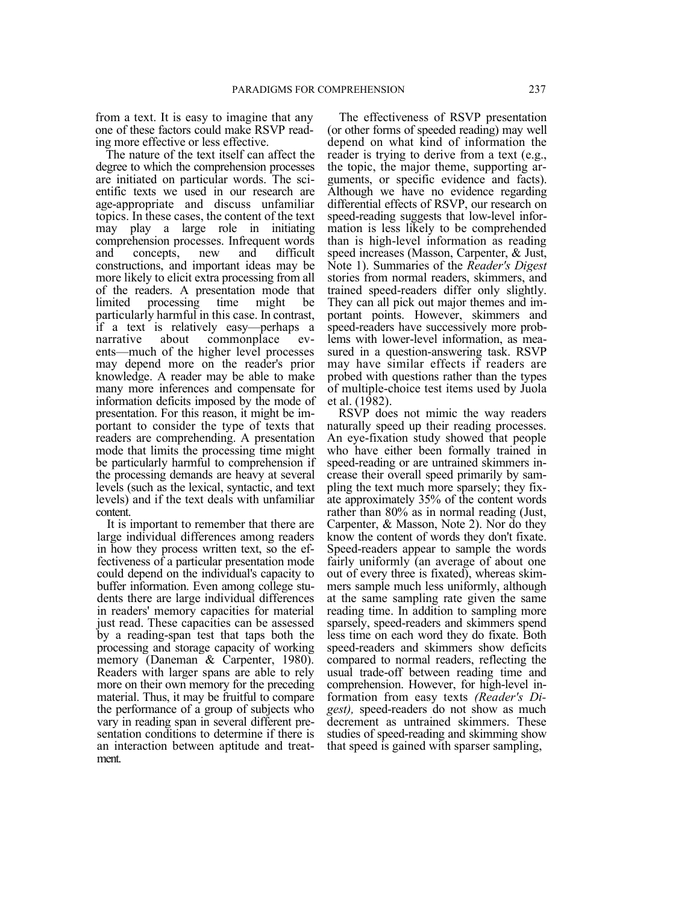from a text. It is easy to imagine that any one of these factors could make RSVP reading more effective or less effective.

The nature of the text itself can affect the degree to which the comprehension processes are initiated on particular words. The scientific texts we used in our research are age-appropriate and discuss unfamiliar topics. In these cases, the content of the text may play a large role in initiating comprehension processes. Infrequent words<br>and concepts, new and difficult and concepts, new and difficult constructions, and important ideas may be more likely to elicit extra processing from all of the readers. A presentation mode that<br>limited processing time might be limited processing time might be particularly harmful in this case. In contrast, if a text is relatively easy—perhaps a narrative about commonplace events—much of the higher level processes may depend more on the reader's prior knowledge. A reader may be able to make many more inferences and compensate for information deficits imposed by the mode of presentation. For this reason, it might be important to consider the type of texts that readers are comprehending. A presentation mode that limits the processing time might be particularly harmful to comprehension if the processing demands are heavy at several levels (such as the lexical, syntactic, and text levels) and if the text deals with unfamiliar content.

It is important to remember that there are large individual differences among readers in how they process written text, so the effectiveness of a particular presentation mode could depend on the individual's capacity to buffer information. Even among college students there are large individual differences in readers' memory capacities for material just read. These capacities can be assessed by a reading-span test that taps both the processing and storage capacity of working memory (Daneman & Carpenter, 1980). Readers with larger spans are able to rely more on their own memory for the preceding material. Thus, it may be fruitful to compare the performance of a group of subjects who vary in reading span in several different presentation conditions to determine if there is an interaction between aptitude and treatment.

The effectiveness of RSVP presentation (or other forms of speeded reading) may well depend on what kind of information the reader is trying to derive from a text (e.g., the topic, the major theme, supporting arguments, or specific evidence and facts). Although we have no evidence regarding differential effects of RSVP, our research on speed-reading suggests that low-level information is less likely to be comprehended than is high-level information as reading speed increases (Masson, Carpenter, & Just, Note 1). Summaries of the *Reader's Digest* stories from normal readers, skimmers, and trained speed-readers differ only slightly. They can all pick out major themes and important points. However, skimmers and speed-readers have successively more problems with lower-level information, as measured in a question-answering task. RSVP may have similar effects if readers are probed with questions rather than the types of multiple-choice test items used by Juola et al. (1982).

RSVP does not mimic the way readers naturally speed up their reading processes. An eye-fixation study showed that people who have either been formally trained in speed-reading or are untrained skimmers increase their overall speed primarily by sampling the text much more sparsely; they fixate approximately 35% of the content words rather than 80% as in normal reading (Just, Carpenter, & Masson, Note 2). Nor do they know the content of words they don't fixate. Speed-readers appear to sample the words fairly uniformly (an average of about one out of every three is fixated), whereas skimmers sample much less uniformly, although at the same sampling rate given the same reading time. In addition to sampling more sparsely, speed-readers and skimmers spend less time on each word they do fixate. Both speed-readers and skimmers show deficits compared to normal readers, reflecting the usual trade-off between reading time and comprehension. However, for high-level information from easy texts (Reader's Digest), speed-readers do not show as much decrement as untrained skimmers. These studies of speed-reading and skimming show that speed is gained with sparser sampling,